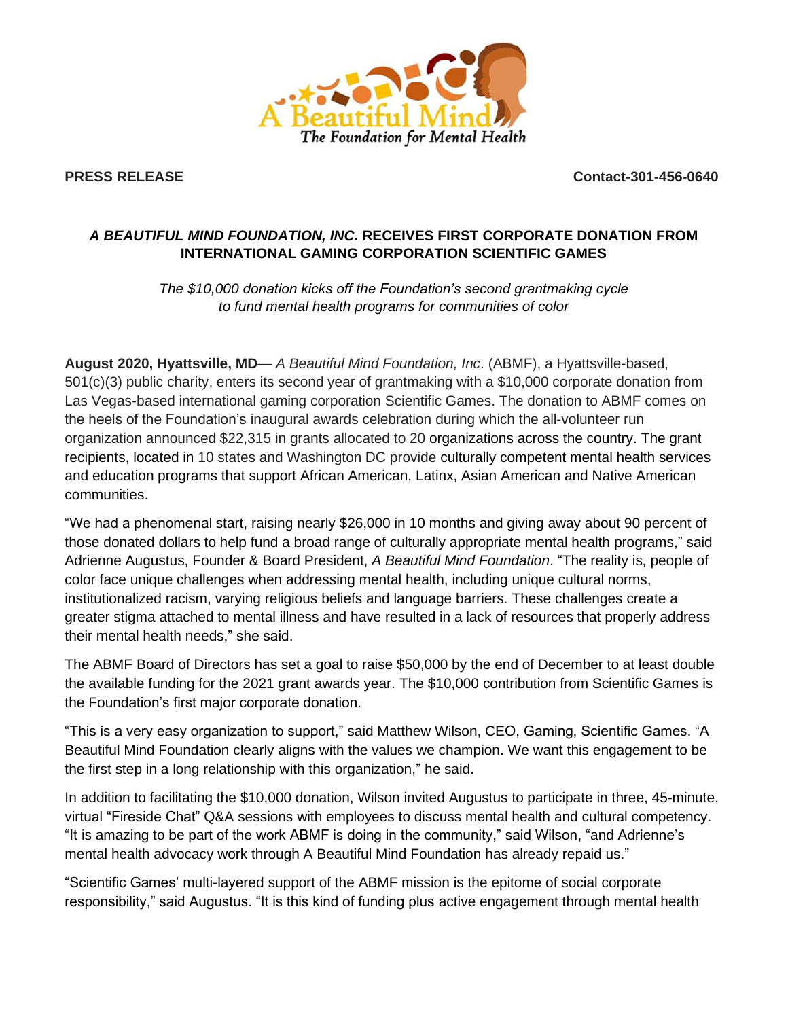

**PRESS RELEASE Contact-301-456-0640**

## *A BEAUTIFUL MIND FOUNDATION, INC.* **RECEIVES FIRST CORPORATE DONATION FROM INTERNATIONAL GAMING CORPORATION SCIENTIFIC GAMES**

*The \$10,000 donation kicks off the Foundation's second grantmaking cycle to fund mental health programs for communities of color*

**August 2020, Hyattsville, MD**— *A Beautiful Mind Foundation, Inc*. (ABMF), a Hyattsville-based, 501(c)(3) public charity, enters its second year of grantmaking with a \$10,000 corporate donation from Las Vegas-based international gaming corporation Scientific Games. The donation to ABMF comes on the heels of the Foundation's inaugural awards celebration during which the all-volunteer run organization announced \$22,315 in grants allocated to 20 organizations across the country. The grant recipients, located in 10 states and Washington DC provide culturally competent mental health services and education programs that support African American, Latinx, Asian American and Native American communities.

"We had a phenomenal start, raising nearly \$26,000 in 10 months and giving away about 90 percent of those donated dollars to help fund a broad range of culturally appropriate mental health programs," said Adrienne Augustus, Founder & Board President, *A Beautiful Mind Foundation*. "The reality is, people of color face unique challenges when addressing mental health, including unique cultural norms, institutionalized racism, varying religious beliefs and language barriers. These challenges create a greater stigma attached to mental illness and have resulted in a lack of resources that properly address their mental health needs," she said.

The ABMF Board of Directors has set a goal to raise \$50,000 by the end of December to at least double the available funding for the 2021 grant awards year. The \$10,000 contribution from Scientific Games is the Foundation's first major corporate donation.

"This is a very easy organization to support," said Matthew Wilson, CEO, Gaming, Scientific Games. "A Beautiful Mind Foundation clearly aligns with the values we champion. We want this engagement to be the first step in a long relationship with this organization," he said.

In addition to facilitating the \$10,000 donation, Wilson invited Augustus to participate in three, 45-minute, virtual "Fireside Chat" Q&A sessions with employees to discuss mental health and cultural competency. "It is amazing to be part of the work ABMF is doing in the community," said Wilson, "and Adrienne's mental health advocacy work through A Beautiful Mind Foundation has already repaid us."

"Scientific Games' multi-layered support of the ABMF mission is the epitome of social corporate responsibility," said Augustus. "It is this kind of funding plus active engagement through mental health